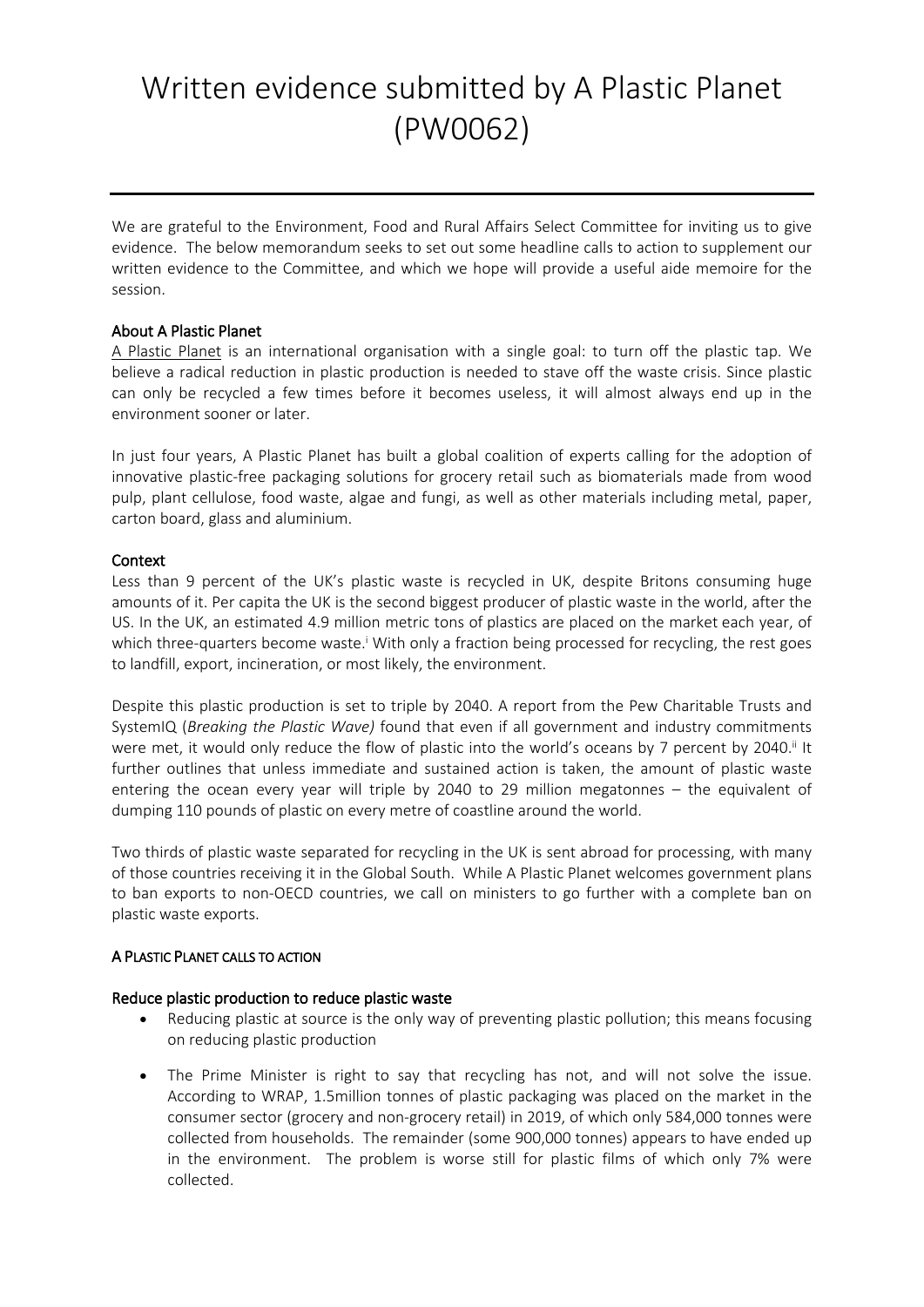# Written evidence submitted by A Plastic Planet (PW0062)

We are grateful to the Environment, Food and Rural Affairs Select Committee for inviting us to give evidence. The below memorandum seeks to set out some headline calls to action to supplement our written evidence to the Committee, and which we hope will provide a useful aide memoire for the session.

## **About A Plastic Planet**

[A](https://aplasticplanet.com/) [Plastic](https://aplasticplanet.com/) [Planet](https://aplasticplanet.com/) is an international organisation with a single goal: to turn off the plastic tap. We believe a radical reduction in plastic production is needed to stave off the waste crisis. Since plastic can only be recycled a few times before it becomes useless, it will almost always end up in the environment sooner or later.

In just four years, A Plastic Planet has built a global coalition of experts calling for the adoption of innovative plastic-free packaging solutions for grocery retail such as biomaterials made from wood pulp, plant cellulose, food waste, algae and fungi, as well as other materials including metal, paper, carton board, glass and aluminium.

## **Context**

Less than 9 percent of the UK's plastic waste is recycled in UK, despite Britons consuming huge amounts of it. Per capita the UK is the second biggest producer of plastic waste in the world, after the US. In the UK, an estimated 4.9 million metric tons of plastics are placed on the market each year, of which three-quarters become waste.<sup>i</sup> With only a fraction being processed for recycling, the rest goes to landfill, export, incineration, or most likely, the environment.

Despite this plastic production is set to triple by 2040. A report from the Pew Charitable Trusts and SystemIQ (*Breaking the Plastic Wave)* found that even if all government and industry commitments were met, it would only reduce the flow of plastic into the world's oceans by 7 percent by 2040.<sup>ii</sup> It further outlines that unless immediate and sustained action is taken, the amount of plastic waste entering the ocean every year will triple by 2040 to 29 million megatonnes – the equivalent of dumping 110 pounds of plastic on every metre of coastline around the world.

Two thirds of plastic waste separated for recycling in the UK is sent abroad for processing, with many of those countries receiving it in the Global South. While A Plastic Planet welcomes government plans to ban exports to non-OECD countries, we call on ministers to go further with a complete ban on plastic waste exports.

#### **A PLASTIC PLANET CALLS TO ACTION**

#### **Reduce plastic production to reduce plastic waste**

- Reducing plastic at source is the only way of preventing plastic pollution; this means focusing on reducing plastic production
- The Prime Minister is right to say that recycling has not, and will not solve the issue. According to WRAP, 1.5million tonnes of plastic packaging was placed on the market in the consumer sector (grocery and non-grocery retail) in 2019, of which only 584,000 tonnes were collected from households. The remainder (some 900,000 tonnes) appears to have ended up in the environment. The problem is worse still for plastic films of which only 7% were collected.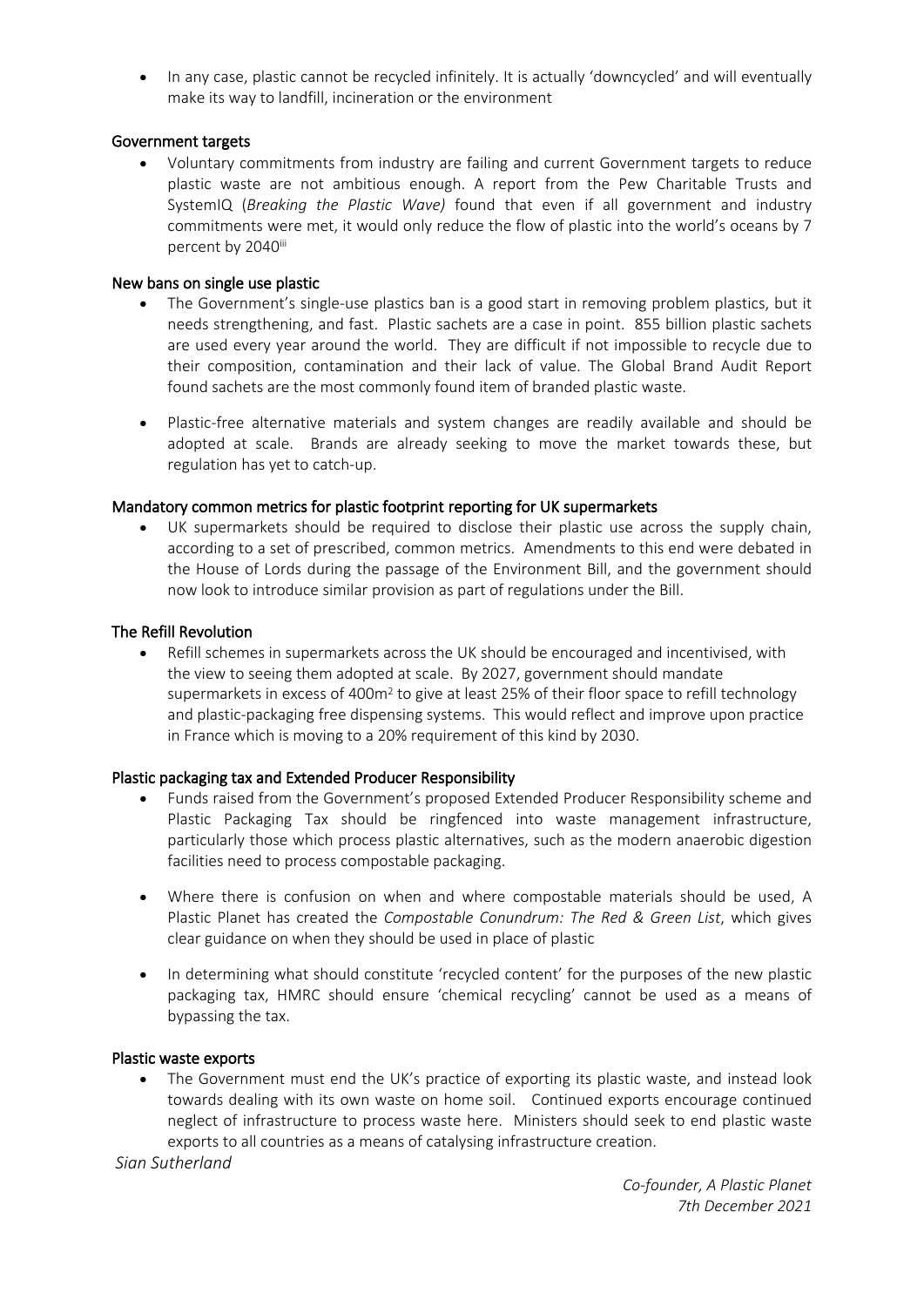• In any case, plastic cannot be recycled infinitely. It is actually 'downcycled' and will eventually make its way to landfill, incineration or the environment

## **Government targets**

 Voluntary commitments from industry are failing and current Government targets to reduce plastic waste are not ambitious enough. A report from the Pew Charitable Trusts and SystemIQ (*Breaking the Plastic Wave)* found that even if all government and industry commitments were met, it would only reduce the flow of plastic into the world's oceans by 7 percent by 2040iii

## **New bans on single use plastic**

- The Government's single-use plastics ban is a good start in removing problem plastics, but it needs strengthening, and fast. Plastic sachets are a case in point. 855 billion plastic sachets are used every year around the world. They are difficult if not impossible to recycle due to their composition, contamination and their lack of value. The Global Brand Audit Report found sachets are the most commonly found item of branded plastic waste.
- Plastic-free alternative materials and system changes are readily available and should be adopted at scale. Brands are already seeking to move the market towards these, but regulation has yet to catch-up.

## **Mandatory common metrics for plastic footprint reporting for UK supermarkets**

 UK supermarkets should be required to disclose their plastic use across the supply chain, according to a set of prescribed, common metrics. Amendments to this end were debated in the House of Lords during the passage of the Environment Bill, and the government should now look to introduce similar provision as part of regulations under the Bill.

## **The Refill Revolution**

 Refill schemes in supermarkets across the UK should be encouraged and incentivised, with the view to seeing them adopted at scale. By 2027, government should mandate supermarkets in excess of 400m<sup>2</sup> to give at least 25% of their floor space to refill technology and plastic-packaging free dispensing systems. This would reflect and improve upon practice in France which is moving to a 20% requirement of this kind by 2030.

#### **Plastic packaging tax and Extended Producer Responsibility**

- Funds raised from the Government's proposed Extended Producer Responsibility scheme and Plastic Packaging Tax should be ringfenced into waste management infrastructure, particularly those which process plastic alternatives, such as the modern anaerobic digestion facilities need to process compostable packaging.
- Where there is confusion on when and where compostable materials should be used, A Plastic Planet has created the *Compostable Conundrum: The Red & Green List*, which gives clear guidance on when they should be used in place of plastic
- In determining what should constitute 'recycled content' for the purposes of the new plastic packaging tax, HMRC should ensure 'chemical recycling' cannot be used as a means of bypassing the tax.

#### **Plastic waste exports**

• The Government must end the UK's practice of exporting its plastic waste, and instead look towards dealing with its own waste on home soil. Continued exports encourage continued neglect of infrastructure to process waste here. Ministers should seek to end plastic waste exports to all countries as a means of catalysing infrastructure creation.

*Sian Sutherland*